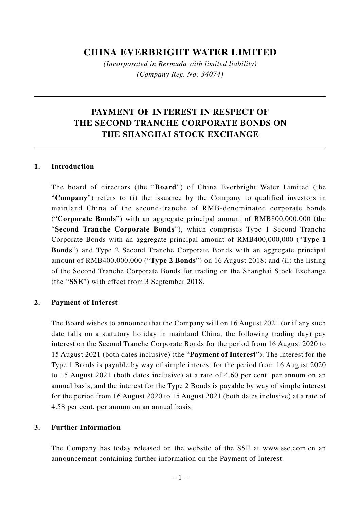## **CHINA EVERBRIGHT WATER LIMITED**

*(Incorporated in Bermuda with limited liability) (Company Reg. No: 34074)*

# **PAYMENT OF INTEREST IN RESPECT OF THE SECOND TRANCHE CORPORATE BONDS ON THE SHANGHAI STOCK EXCHANGE**

#### **1. Introduction**

The board of directors (the "**Board**") of China Everbright Water Limited (the "**Company**") refers to (i) the issuance by the Company to qualified investors in mainland China of the second-tranche of RMB-denominated corporate bonds ("**Corporate Bonds**") with an aggregate principal amount of RMB800,000,000 (the "**Second Tranche Corporate Bonds**"), which comprises Type 1 Second Tranche Corporate Bonds with an aggregate principal amount of RMB400,000,000 ("**Type 1 Bonds**") and Type 2 Second Tranche Corporate Bonds with an aggregate principal amount of RMB400,000,000 ("**Type 2 Bonds**") on 16 August 2018; and (ii) the listing of the Second Tranche Corporate Bonds for trading on the Shanghai Stock Exchange (the "**SSE**") with effect from 3 September 2018.

#### **2. Payment of Interest**

The Board wishes to announce that the Company will on 16 August 2021 (or if any such date falls on a statutory holiday in mainland China, the following trading day) pay interest on the Second Tranche Corporate Bonds for the period from 16 August 2020 to 15 August 2021 (both dates inclusive) (the "**Payment of Interest**"). The interest for the Type 1 Bonds is payable by way of simple interest for the period from 16 August 2020 to 15 August 2021 (both dates inclusive) at a rate of 4.60 per cent. per annum on an annual basis, and the interest for the Type 2 Bonds is payable by way of simple interest for the period from 16 August 2020 to 15 August 2021 (both dates inclusive) at a rate of 4.58 per cent. per annum on an annual basis.

#### **3. Further Information**

The Company has today released on the website of the SSE at www.sse.com.cn an announcement containing further information on the Payment of Interest.